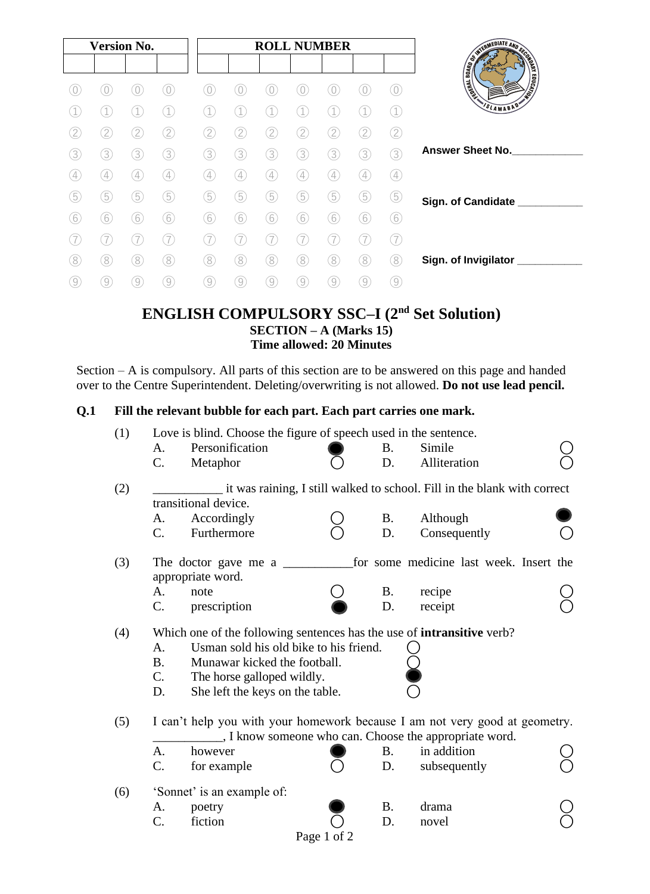| <b>Version No.</b> |                |   |     |   | <b>ROLL NUMBER</b> |                                                                                                                                                                                                                                                                                                                                                                                                                                                                                                                                                                                                                                                                                                                                                                                                                                                                                                                   |    |                |   |                   |                                          |
|--------------------|----------------|---|-----|---|--------------------|-------------------------------------------------------------------------------------------------------------------------------------------------------------------------------------------------------------------------------------------------------------------------------------------------------------------------------------------------------------------------------------------------------------------------------------------------------------------------------------------------------------------------------------------------------------------------------------------------------------------------------------------------------------------------------------------------------------------------------------------------------------------------------------------------------------------------------------------------------------------------------------------------------------------|----|----------------|---|-------------------|------------------------------------------|
|                    |                |   |     |   |                    |                                                                                                                                                                                                                                                                                                                                                                                                                                                                                                                                                                                                                                                                                                                                                                                                                                                                                                                   |    |                |   |                   | <b>SALES AND ACCEPTED AT LAW ACCEPTS</b> |
|                    |                |   |     |   |                    |                                                                                                                                                                                                                                                                                                                                                                                                                                                                                                                                                                                                                                                                                                                                                                                                                                                                                                                   |    |                |   | $\overline{0}$    | <b>EDUCATION</b><br>LENSIN               |
|                    |                |   |     |   |                    |                                                                                                                                                                                                                                                                                                                                                                                                                                                                                                                                                                                                                                                                                                                                                                                                                                                                                                                   |    |                |   |                   | SLAMABAD                                 |
|                    | 2              | 2 | 2   | 2 | 2                  | 2                                                                                                                                                                                                                                                                                                                                                                                                                                                                                                                                                                                                                                                                                                                                                                                                                                                                                                                 | 2  | 2              | 2 | (2)               |                                          |
| 3                  | 3              | 3 | 3,  | 3 | 3)                 | 3                                                                                                                                                                                                                                                                                                                                                                                                                                                                                                                                                                                                                                                                                                                                                                                                                                                                                                                 | 3  | 3              | 3 | 3                 | <b>Answer Sheet No.</b>                  |
|                    | $\overline{4}$ |   | 4   | 4 | 4                  | $\left[ 4\right] % \includegraphics[width=0.9\textwidth]{images/TrDiM-Architecture.png} \caption{The figure shows the number of parameters of the number of times, and the number of times, and the number of times, are the number of times, and the number of times, are the number of times, and the number of times, are the number of times, and the number of times, are the number of times, and the number of times, are the number of times, and the number of times, are the number of times, and the number of times, are the number of times, and the number of times, are the number of times, and the number of times, are the number of times, and the number of times, are the number of times, and the number of times, are the number of times, and the number of times, are the number of times, and the number of times, are the number of times, and the number of times, are the number of$ | 4  | $\overline{4}$ | 4 | $\left( 4\right)$ |                                          |
| 5                  | 5              | 5 | 5   |   | 5                  | 5                                                                                                                                                                                                                                                                                                                                                                                                                                                                                                                                                                                                                                                                                                                                                                                                                                                                                                                 | 5  | 5              | 5 | (5)               | Sign. of Candidate ____                  |
| 6                  | [6]            | 6 | 6   | 6 | 6                  | (6)                                                                                                                                                                                                                                                                                                                                                                                                                                                                                                                                                                                                                                                                                                                                                                                                                                                                                                               | 6  | 6              | 6 | 6                 |                                          |
|                    |                |   |     |   |                    |                                                                                                                                                                                                                                                                                                                                                                                                                                                                                                                                                                                                                                                                                                                                                                                                                                                                                                                   |    |                |   | (7)               |                                          |
| 8                  | 8.             | 8 | (8) | 8 | 8                  | 8                                                                                                                                                                                                                                                                                                                                                                                                                                                                                                                                                                                                                                                                                                                                                                                                                                                                                                                 | 8) | 8              | 8 | (8)               | Sign. of Invigilator                     |
|                    | $\overline{9}$ | 9 | 9   | 9 | 9                  | $\left( 9\right)$                                                                                                                                                                                                                                                                                                                                                                                                                                                                                                                                                                                                                                                                                                                                                                                                                                                                                                 | 9  | ʻ9             | 9 | $\left[9\right]$  |                                          |

## **ENGLISH COMPULSORY SSC–I (2nd Set Solution) SECTION – A (Marks 15) Time allowed: 20 Minutes**

Section – A is compulsory. All parts of this section are to be answered on this page and handed over to the Centre Superintendent. Deleting/overwriting is not allowed. **Do not use lead pencil.**

## **Q.1 Fill the relevant bubble for each part. Each part carries one mark.**

| (1) |                                                                                                  | Love is blind. Choose the figure of speech used in the sentence.                                                                                                                                                  |             |           |                                         |  |  |  |  |  |
|-----|--------------------------------------------------------------------------------------------------|-------------------------------------------------------------------------------------------------------------------------------------------------------------------------------------------------------------------|-------------|-----------|-----------------------------------------|--|--|--|--|--|
|     | A.                                                                                               | Personification                                                                                                                                                                                                   |             | <b>B.</b> | Simile                                  |  |  |  |  |  |
|     | C.                                                                                               | Metaphor                                                                                                                                                                                                          |             | D.        | Alliteration                            |  |  |  |  |  |
| (2) | it was raining, I still walked to school. Fill in the blank with correct<br>transitional device. |                                                                                                                                                                                                                   |             |           |                                         |  |  |  |  |  |
|     | A.                                                                                               | Accordingly                                                                                                                                                                                                       |             | B.        | Although                                |  |  |  |  |  |
|     | $C_{\cdot}$                                                                                      | Furthermore                                                                                                                                                                                                       |             | D.        | Consequently                            |  |  |  |  |  |
| (3) |                                                                                                  | The doctor gave me a<br>appropriate word.                                                                                                                                                                         |             |           | for some medicine last week. Insert the |  |  |  |  |  |
|     | A.                                                                                               | note                                                                                                                                                                                                              |             | <b>B.</b> | recipe                                  |  |  |  |  |  |
|     | $C_{\cdot}$                                                                                      | prescription                                                                                                                                                                                                      |             | D.        | receipt                                 |  |  |  |  |  |
| (4) | A.<br><b>B.</b><br>$C_{\cdot}$<br>D.                                                             | Which one of the following sentences has the use of intransitive verb?<br>Usman sold his old bike to his friend.<br>Munawar kicked the football.<br>The horse galloped wildly.<br>She left the keys on the table. |             |           |                                         |  |  |  |  |  |
| (5) | I can't help you with your homework because I am not very good at geometry.                      |                                                                                                                                                                                                                   |             |           |                                         |  |  |  |  |  |
|     | I know someone who can. Choose the appropriate word.                                             |                                                                                                                                                                                                                   |             |           |                                         |  |  |  |  |  |
|     | A <sub>1</sub>                                                                                   | however                                                                                                                                                                                                           |             | B.        | in addition                             |  |  |  |  |  |
|     | $C_{\cdot}$                                                                                      | for example                                                                                                                                                                                                       |             | D.        | subsequently                            |  |  |  |  |  |
| (6) | 'Sonnet' is an example of:                                                                       |                                                                                                                                                                                                                   |             |           |                                         |  |  |  |  |  |
|     | A.                                                                                               | poetry                                                                                                                                                                                                            |             | <b>B.</b> | drama                                   |  |  |  |  |  |
|     | $\mathbf{C}$ .                                                                                   | fiction                                                                                                                                                                                                           |             | D.        | novel                                   |  |  |  |  |  |
|     |                                                                                                  |                                                                                                                                                                                                                   | Page 1 of 2 |           |                                         |  |  |  |  |  |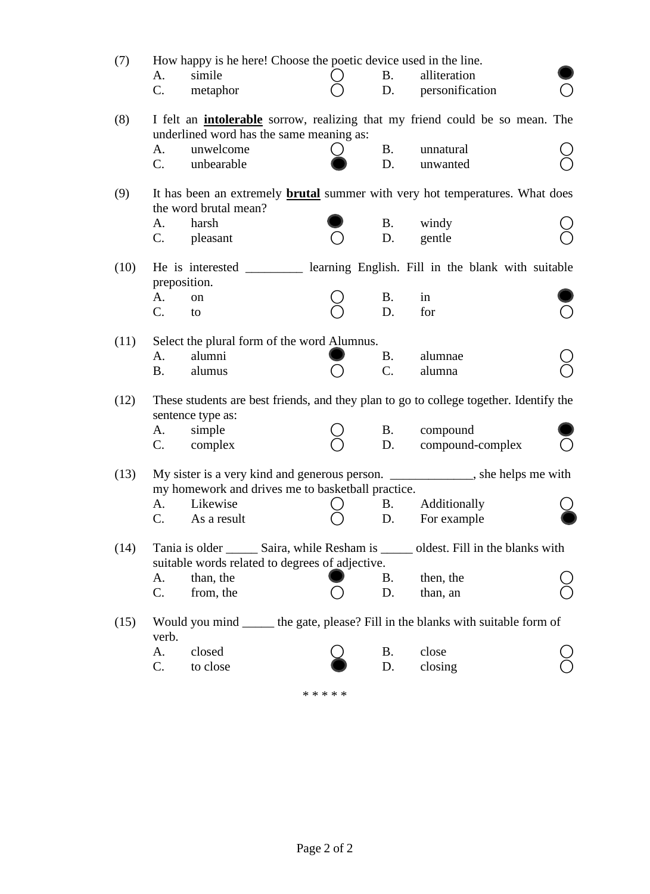| (7)  | А.<br>C.                                                                                                                             | How happy is he here! Choose the poetic device used in the line.<br>simile<br>metaphor                      |  | <b>B.</b><br>D. | alliteration<br>personification                                                  |  |  |  |  |  |
|------|--------------------------------------------------------------------------------------------------------------------------------------|-------------------------------------------------------------------------------------------------------------|--|-----------------|----------------------------------------------------------------------------------|--|--|--|--|--|
| (8)  | I felt an <b>intolerable</b> sorrow, realizing that my friend could be so mean. The<br>underlined word has the same meaning as:      |                                                                                                             |  |                 |                                                                                  |  |  |  |  |  |
|      | A.<br>$C_{\cdot}$                                                                                                                    | unwelcome<br>unbearable                                                                                     |  | <b>B.</b><br>D. | unnatural<br>unwanted                                                            |  |  |  |  |  |
| (9)  | It has been an extremely <b>brutal</b> summer with very hot temperatures. What does<br>the word brutal mean?                         |                                                                                                             |  |                 |                                                                                  |  |  |  |  |  |
|      | A.<br>$C_{\cdot}$                                                                                                                    | harsh<br>pleasant                                                                                           |  | <b>B.</b><br>D. | windy<br>gentle                                                                  |  |  |  |  |  |
| (10) | preposition.                                                                                                                         |                                                                                                             |  |                 | He is interested ____________ learning English. Fill in the blank with suitable  |  |  |  |  |  |
|      | A.<br>$C_{\cdot}$                                                                                                                    | <sub>on</sub><br>to                                                                                         |  | <b>B.</b><br>D. | in<br>for                                                                        |  |  |  |  |  |
| (11) |                                                                                                                                      | Select the plural form of the word Alumnus.                                                                 |  |                 |                                                                                  |  |  |  |  |  |
|      | A.                                                                                                                                   | alumni                                                                                                      |  | <b>B.</b>       | alumnae                                                                          |  |  |  |  |  |
|      | B.                                                                                                                                   | alumus                                                                                                      |  | C.              | alumna                                                                           |  |  |  |  |  |
| (12) |                                                                                                                                      | These students are best friends, and they plan to go to college together. Identify the<br>sentence type as: |  |                 |                                                                                  |  |  |  |  |  |
|      | A.                                                                                                                                   | simple                                                                                                      |  | <b>B.</b>       | compound                                                                         |  |  |  |  |  |
|      | $\mathbf{C}$ .                                                                                                                       | complex                                                                                                     |  | D.              | compound-complex                                                                 |  |  |  |  |  |
| (13) | My sister is a very kind and generous person. ______________, she helps me with<br>my homework and drives me to basketball practice. |                                                                                                             |  |                 |                                                                                  |  |  |  |  |  |
|      | А.                                                                                                                                   | Likewise                                                                                                    |  | B.              | Additionally                                                                     |  |  |  |  |  |
|      | C.                                                                                                                                   | As a result                                                                                                 |  | D.              | For example                                                                      |  |  |  |  |  |
| (14) | Tania is older Saira, while Resham is oldest. Fill in the blanks with<br>suitable words related to degrees of adjective.             |                                                                                                             |  |                 |                                                                                  |  |  |  |  |  |
|      | A.                                                                                                                                   | than, the                                                                                                   |  | Β.              | then, the                                                                        |  |  |  |  |  |
|      | C.                                                                                                                                   | from, the                                                                                                   |  | D.              | than, an                                                                         |  |  |  |  |  |
| (15) | verb.                                                                                                                                |                                                                                                             |  |                 | Would you mind ______ the gate, please? Fill in the blanks with suitable form of |  |  |  |  |  |
|      | A.                                                                                                                                   | closed                                                                                                      |  | <b>B.</b>       | close                                                                            |  |  |  |  |  |
|      | C.                                                                                                                                   | to close                                                                                                    |  | D.              | closing                                                                          |  |  |  |  |  |

\* \* \* \* \*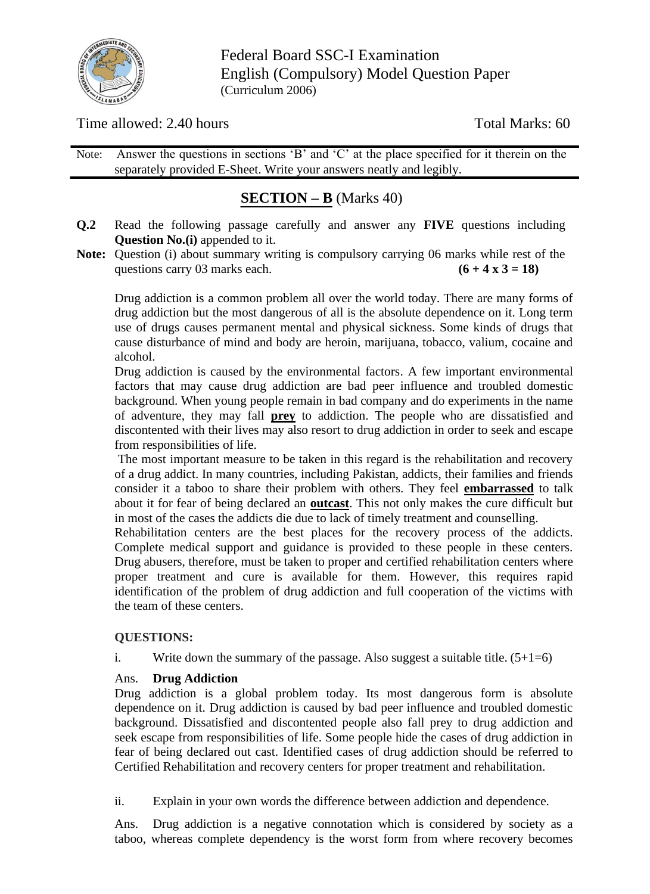

Federal Board SSC-I Examination English (Compulsory) Model Question Paper (Curriculum 2006)

Time allowed: 2.40 hours Total Marks: 60

Note: Answer the questions in sections 'B' and 'C' at the place specified for it therein on the separately provided E-Sheet. Write your answers neatly and legibly.

# **SECTION – B** (Marks 40)

- **Q.2** Read the following passage carefully and answer any **FIVE** questions including **Question No.(i)** appended to it.
- **Note:** Question (i) about summary writing is compulsory carrying 06 marks while rest of the questions carry 03 marks each.  $(6 + 4 \times 3 = 18)$

Drug addiction is a common problem all over the world today. There are many forms of drug addiction but the most dangerous of all is the absolute dependence on it. Long term use of drugs causes permanent mental and physical sickness. Some kinds of drugs that cause disturbance of mind and body are heroin, marijuana, tobacco, valium, cocaine and alcohol.

Drug addiction is caused by the environmental factors. A few important environmental factors that may cause drug addiction are bad peer influence and troubled domestic background. When young people remain in bad company and do experiments in the name of adventure, they may fall **prey** to addiction. The people who are dissatisfied and discontented with their lives may also resort to drug addiction in order to seek and escape from responsibilities of life.

The most important measure to be taken in this regard is the rehabilitation and recovery of a drug addict. In many countries, including Pakistan, addicts, their families and friends consider it a taboo to share their problem with others. They feel **embarrassed** to talk about it for fear of being declared an **outcast**. This not only makes the cure difficult but in most of the cases the addicts die due to lack of timely treatment and counselling.

Rehabilitation centers are the best places for the recovery process of the addicts. Complete medical support and guidance is provided to these people in these centers. Drug abusers, therefore, must be taken to proper and certified rehabilitation centers where proper treatment and cure is available for them. However, this requires rapid identification of the problem of drug addiction and full cooperation of the victims with the team of these centers.

## **QUESTIONS:**

i. Write down the summary of the passage. Also suggest a suitable title.  $(5+1=6)$ 

## Ans. **Drug Addiction**

Drug addiction is a global problem today. Its most dangerous form is absolute dependence on it. Drug addiction is caused by bad peer influence and troubled domestic background. Dissatisfied and discontented people also fall prey to drug addiction and seek escape from responsibilities of life. Some people hide the cases of drug addiction in fear of being declared out cast. Identified cases of drug addiction should be referred to Certified Rehabilitation and recovery centers for proper treatment and rehabilitation.

ii. Explain in your own words the difference between addiction and dependence.

Ans. Drug addiction is a negative connotation which is considered by society as a taboo, whereas complete dependency is the worst form from where recovery becomes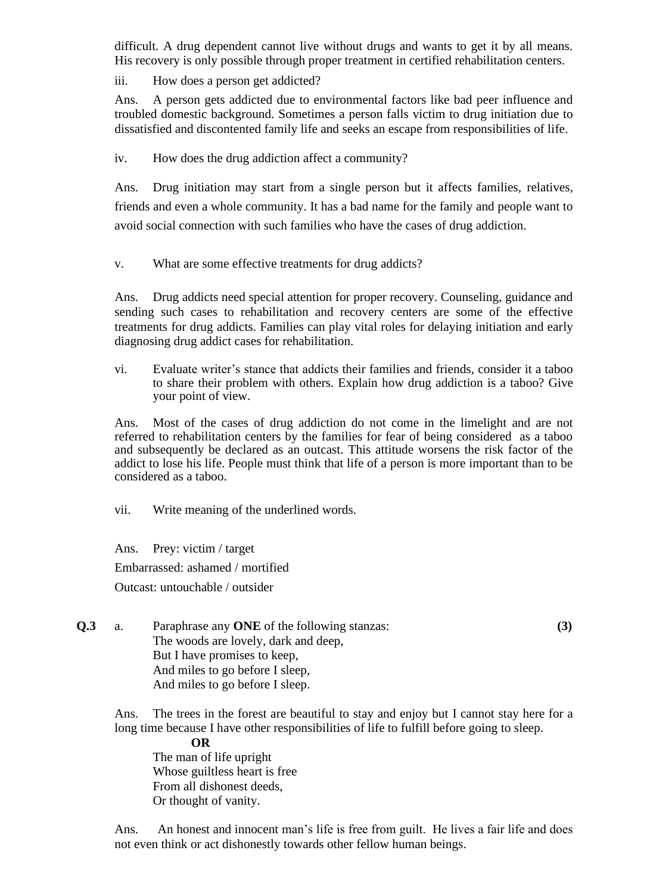difficult. A drug dependent cannot live without drugs and wants to get it by all means. His recovery is only possible through proper treatment in certified rehabilitation centers.

iii. How does a person get addicted?

Ans. A person gets addicted due to environmental factors like bad peer influence and troubled domestic background. Sometimes a person falls victim to drug initiation due to dissatisfied and discontented family life and seeks an escape from responsibilities of life.

iv. How does the drug addiction affect a community?

Ans. Drug initiation may start from a single person but it affects families, relatives, friends and even a whole community. It has a bad name for the family and people want to avoid social connection with such families who have the cases of drug addiction.

v. What are some effective treatments for drug addicts?

Ans. Drug addicts need special attention for proper recovery. Counseling, guidance and sending such cases to rehabilitation and recovery centers are some of the effective treatments for drug addicts. Families can play vital roles for delaying initiation and early diagnosing drug addict cases for rehabilitation.

vi. Evaluate writer's stance that addicts their families and friends, consider it a taboo to share their problem with others. Explain how drug addiction is a taboo? Give your point of view.

Ans. Most of the cases of drug addiction do not come in the limelight and are not referred to rehabilitation centers by the families for fear of being considered as a taboo and subsequently be declared as an outcast. This attitude worsens the risk factor of the addict to lose his life. People must think that life of a person is more important than to be considered as a taboo.

vii. Write meaning of the underlined words.

Ans. Prey: victim / target

Embarrassed: ashamed / mortified

Outcast: untouchable / outsider

**Q.3** a. Paraphrase any **ONE** of the following stanzas: **(3)** The woods are lovely, dark and deep, But I have promises to keep, And miles to go before I sleep, And miles to go before I sleep.

Ans. The trees in the forest are beautiful to stay and enjoy but I cannot stay here for a long time because I have other responsibilities of life to fulfill before going to sleep.

#### **OR**

The man of life upright Whose guiltless heart is free From all dishonest deeds, Or thought of vanity.

Ans. An honest and innocent man's life is free from guilt. He lives a fair life and does not even think or act dishonestly towards other fellow human beings.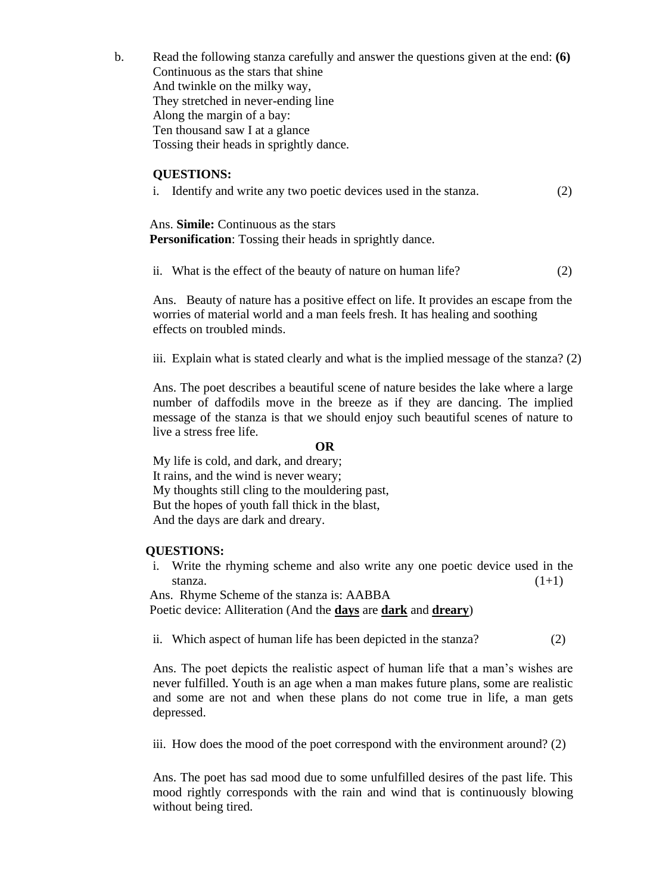b. Read the following stanza carefully and answer the questions given at the end: **(6)** Continuous as the stars that shine And twinkle on the milky way, They stretched in never-ending line Along the margin of a bay: Ten thousand saw I at a glance Tossing their heads in sprightly dance.

### **QUESTIONS:**

|  | i. Identify and write any two poetic devices used in the stanza. | (2) |
|--|------------------------------------------------------------------|-----|
|--|------------------------------------------------------------------|-----|

 Ans. **Simile:** Continuous as the stars **Personification**: Tossing their heads in sprightly dance.

ii. What is the effect of the beauty of nature on human life?  $(2)$ 

Ans. Beauty of nature has a positive effect on life. It provides an escape from the worries of material world and a man feels fresh. It has healing and soothing effects on troubled minds.

iii. Explain what is stated clearly and what is the implied message of the stanza? (2)

Ans. The poet describes a beautiful scene of nature besides the lake where a large number of daffodils move in the breeze as if they are dancing. The implied message of the stanza is that we should enjoy such beautiful scenes of nature to live a stress free life.

#### **OR**

My life is cold, and dark, and dreary; It rains, and the wind is never weary; My thoughts still cling to the mouldering past, But the hopes of youth fall thick in the blast, And the days are dark and dreary.

#### **QUESTIONS:**

i. Write the rhyming scheme and also write any one poetic device used in the stanza.  $(1+1)$ 

 Ans. Rhyme Scheme of the stanza is: AABBA Poetic device: Alliteration (And the **days** are **dark** and **dreary**)

ii. Which aspect of human life has been depicted in the stanza? (2)

Ans. The poet depicts the realistic aspect of human life that a man's wishes are never fulfilled. Youth is an age when a man makes future plans, some are realistic and some are not and when these plans do not come true in life, a man gets depressed.

iii. How does the mood of the poet correspond with the environment around? (2)

Ans. The poet has sad mood due to some unfulfilled desires of the past life. This mood rightly corresponds with the rain and wind that is continuously blowing without being tired.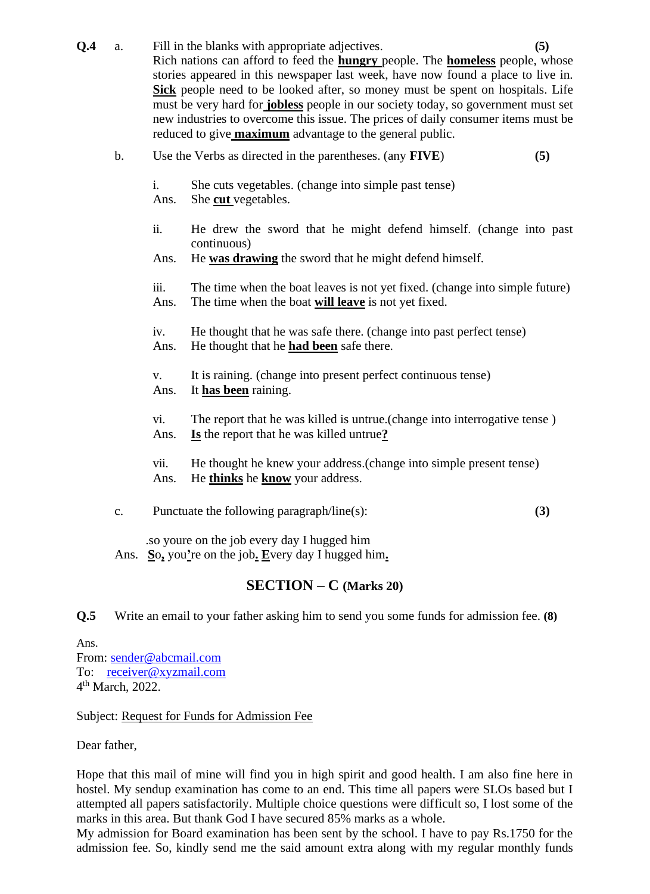- **Q.4** a. Fill in the blanks with appropriate adjectives. **(5)** Rich nations can afford to feed the **hungry** people. The **homeless** people, whose stories appeared in this newspaper last week, have now found a place to live in. **Sick** people need to be looked after, so money must be spent on hospitals. Life must be very hard for **jobless** people in our society today, so government must set new industries to overcome this issue. The prices of daily consumer items must be reduced to give **maximum** advantage to the general public.
	- b. Use the Verbs as directed in the parentheses. (any **FIVE**) **(5)**
		- i. She cuts vegetables. (change into simple past tense)

Ans. She **cut** vegetables.

ii. He drew the sword that he might defend himself. (change into past continuous)

Ans. He **was drawing** the sword that he might defend himself.

iii. The time when the boat leaves is not yet fixed. (change into simple future) Ans. The time when the boat **will leave** is not yet fixed.

iv. He thought that he was safe there. (change into past perfect tense) Ans. He thought that he **had been** safe there.

v. It is raining. (change into present perfect continuous tense) Ans. It **has been** raining.

vi. The report that he was killed is untrue.(change into interrogative tense ) Ans. **Is** the report that he was killed untrue**?**

vii. He thought he knew your address.(change into simple present tense) Ans. He **thinks** he **know** your address.

c. Punctuate the following paragraph/line(s): **(3)**

.so youre on the job every day I hugged him Ans. **S**o**,** you**'**re on the job**. E**very day I hugged him**.**

## **SECTION – C (Marks 20)**

**Q.5** Write an email to your father asking him to send you some funds for admission fee. **(8)**

Ans. From: [sender@abcmail.com](mailto:sender@abcmail.com) To: [receiver@xyzmail.com](mailto:receiver@xyzmail.com) 4 th March, 2022.

Subject: Request for Funds for Admission Fee

Dear father,

Hope that this mail of mine will find you in high spirit and good health. I am also fine here in hostel. My sendup examination has come to an end. This time all papers were SLOs based but I attempted all papers satisfactorily. Multiple choice questions were difficult so, I lost some of the marks in this area. But thank God I have secured 85% marks as a whole.

My admission for Board examination has been sent by the school. I have to pay Rs.1750 for the admission fee. So, kindly send me the said amount extra along with my regular monthly funds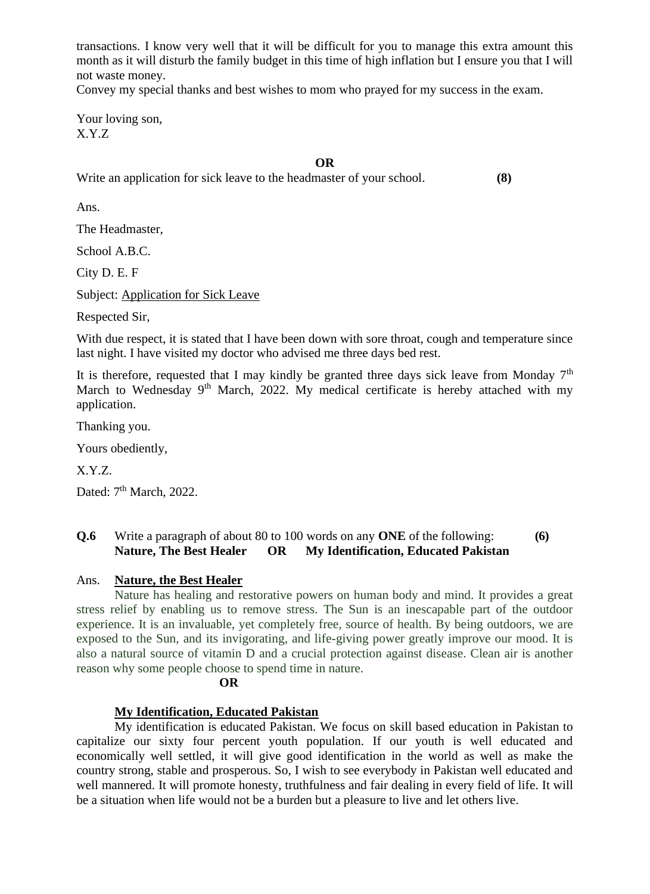transactions. I know very well that it will be difficult for you to manage this extra amount this month as it will disturb the family budget in this time of high inflation but I ensure you that I will not waste money.

Convey my special thanks and best wishes to mom who prayed for my success in the exam.

Your loving son, X.Y.Z

## **OR**

Write an application for sick leave to the headmaster of your school. **(8)**

Ans.

The Headmaster,

School A.B.C.

City D. E. F

Subject: Application for Sick Leave

Respected Sir,

With due respect, it is stated that I have been down with sore throat, cough and temperature since last night. I have visited my doctor who advised me three days bed rest.

It is therefore, requested that I may kindly be granted three days sick leave from Monday  $7<sup>th</sup>$ March to Wednesday  $9<sup>th</sup>$  March, 2022. My medical certificate is hereby attached with my application.

Thanking you.

Yours obediently,

X.Y.Z.

Dated: 7<sup>th</sup> March, 2022.

## **Q.6** Write a paragraph of about 80 to 100 words on any **ONE** of the following: **(6) Nature, The Best Healer OR My Identification, Educated Pakistan**

### Ans. **Nature, the Best Healer**

Nature has healing and restorative powers on human body and mind. It provides a great stress relief by enabling us to remove stress. The Sun is an inescapable part of the outdoor experience. It is an invaluable, yet completely free, source of health. By being outdoors, we are exposed to the Sun, and its invigorating, and life-giving power greatly improve our mood. It is also a natural source of vitamin D and a crucial protection against disease. Clean air is another reason why some people choose to spend time in nature.

**OR**

### **My Identification, Educated Pakistan**

My identification is educated Pakistan. We focus on skill based education in Pakistan to capitalize our sixty four percent youth population. If our youth is well educated and economically well settled, it will give good identification in the world as well as make the country strong, stable and prosperous. So, I wish to see everybody in Pakistan well educated and well mannered. It will promote honesty, truthfulness and fair dealing in every field of life. It will be a situation when life would not be a burden but a pleasure to live and let others live.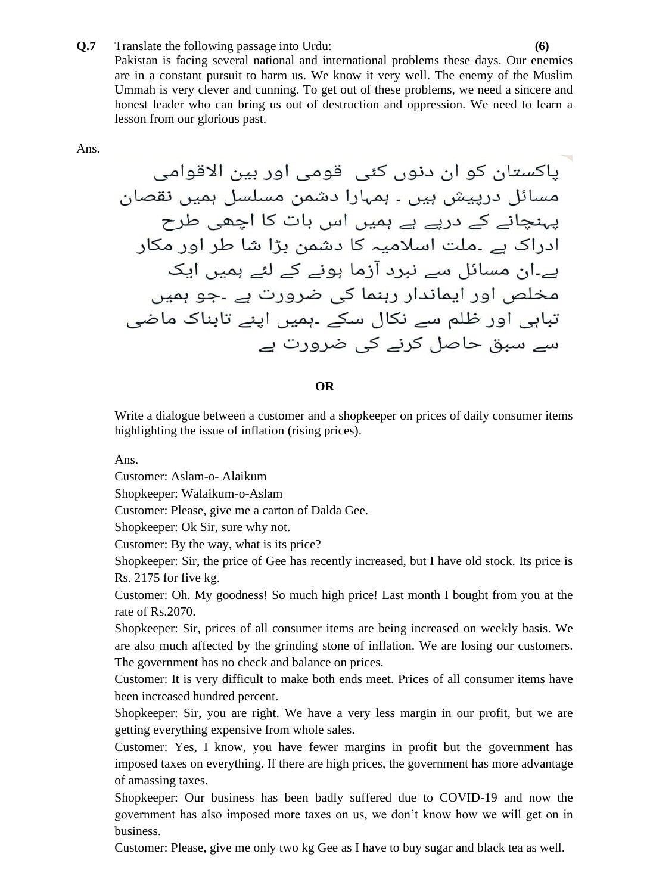**Q.7** Translate the following passage into Urdu: **(6)** 

Pakistan is facing several national and international problems these days. Our enemies are in a constant pursuit to harm us. We know it very well. The enemy of the Muslim Ummah is very clever and cunning. To get out of these problems, we need a sincere and honest leader who can bring us out of destruction and oppression. We need to learn a lesson from our glorious past.

Ans.

پاکستان کو ان دنوں کئی قومی اور بین الاقوامی مسائل درپیش ہیں ۔ ہمہارا دشمن مسلسل ہمیں نقصان پہنچانے کے درپے ہے ہمیں اس بات کا اچھی طرح ادراک ہے ۔ملت اسلامیہ کا دشمن بڑا شا طر اور مکار ہے۔ان مسائل سے نبرد آزما ہونے کے لئے ہمیں ایک مخلص اور ایماندار رہنما کی ضرورت ہے ۔جو ہمیں تباہی اور ظلم سے نکال سکے ۔ہمیں اپنے تابناک ماضی سے سبق حاصل کرنے کی ضرورت ہے

**OR**

Write a dialogue between a customer and a shopkeeper on prices of daily consumer items highlighting the issue of inflation (rising prices).

Ans.

Customer: Aslam-o- Alaikum

Shopkeeper: Walaikum-o-Aslam

Customer: Please, give me a carton of Dalda Gee.

Shopkeeper: Ok Sir, sure why not.

Customer: By the way, what is its price?

Shopkeeper: Sir, the price of Gee has recently increased, but I have old stock. Its price is Rs. 2175 for five kg.

Customer: Oh. My goodness! So much high price! Last month I bought from you at the rate of Rs.2070.

Shopkeeper: Sir, prices of all consumer items are being increased on weekly basis. We are also much affected by the grinding stone of inflation. We are losing our customers. The government has no check and balance on prices.

Customer: It is very difficult to make both ends meet. Prices of all consumer items have been increased hundred percent.

Shopkeeper: Sir, you are right. We have a very less margin in our profit, but we are getting everything expensive from whole sales.

Customer: Yes, I know, you have fewer margins in profit but the government has imposed taxes on everything. If there are high prices, the government has more advantage of amassing taxes.

Shopkeeper: Our business has been badly suffered due to COVID-19 and now the government has also imposed more taxes on us, we don't know how we will get on in business.

Customer: Please, give me only two kg Gee as I have to buy sugar and black tea as well.